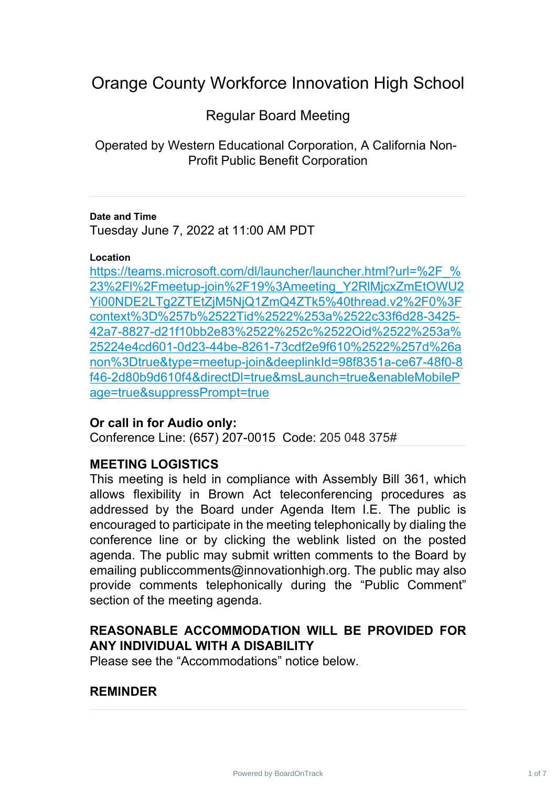# Orange County Workforce Innovation High School

# Regular Board Meeting

Operated by Western Educational Corporation, A California Non-Profit Public Benefit Corporation

#### **Date and Time**

Tuesday June 7, 2022 at 11:00 AM PDT

#### **Location**

https://teams.microsoft.com/dl/launcher/launcher.html?url=%2F % 23%2Fl%2Fmeetup-join%2F19%3Ameeting\_Y2RlMjcxZmEtOWU2 [Yi00NDE2LTg2ZTEtZjM5NjQ1ZmQ4ZTk5%40thread.v2%2F0%3F](https://teams.microsoft.com/dl/launcher/launcher.html?url=%2F_%23%2Fl%2Fmeetup-join%2F19%3Ameeting_Y2RlMjcxZmEtOWU2Yi00NDE2LTg2ZTEtZjM5NjQ1ZmQ4ZTk5%40thread.v2%2F0%3Fcontext%3D%257b%2522Tid%2522%253a%2522c33f6d28-3425-42a7-8827-d21f10bb2e83%2522%252c%2522Oid%2522%253a%25224e4cd601-0d23-44be-8261-73cdf2e9f610%2522%257d%26anon%3Dtrue&type=meetup-join&deeplinkId=98f8351a-ce67-48f0-8f46-2d80b9d610f4&directDl=true&msLaunch=true&enableMobilePage=true&suppressPrompt=true) context%3D%257b%2522Tid%2522%253a%2522c33f6d28-3425- [42a7-8827-d21f10bb2e83%2522%252c%2522Oid%2522%253a%](https://teams.microsoft.com/dl/launcher/launcher.html?url=%2F_%23%2Fl%2Fmeetup-join%2F19%3Ameeting_Y2RlMjcxZmEtOWU2Yi00NDE2LTg2ZTEtZjM5NjQ1ZmQ4ZTk5%40thread.v2%2F0%3Fcontext%3D%257b%2522Tid%2522%253a%2522c33f6d28-3425-42a7-8827-d21f10bb2e83%2522%252c%2522Oid%2522%253a%25224e4cd601-0d23-44be-8261-73cdf2e9f610%2522%257d%26anon%3Dtrue&type=meetup-join&deeplinkId=98f8351a-ce67-48f0-8f46-2d80b9d610f4&directDl=true&msLaunch=true&enableMobilePage=true&suppressPrompt=true) 25224e4cd601-0d23-44be-8261-73cdf2e9f610%2522%257d%26a [non%3Dtrue&type=meetup-join&deeplinkId=98f8351a-ce67-48f0-8](https://teams.microsoft.com/dl/launcher/launcher.html?url=%2F_%23%2Fl%2Fmeetup-join%2F19%3Ameeting_Y2RlMjcxZmEtOWU2Yi00NDE2LTg2ZTEtZjM5NjQ1ZmQ4ZTk5%40thread.v2%2F0%3Fcontext%3D%257b%2522Tid%2522%253a%2522c33f6d28-3425-42a7-8827-d21f10bb2e83%2522%252c%2522Oid%2522%253a%25224e4cd601-0d23-44be-8261-73cdf2e9f610%2522%257d%26anon%3Dtrue&type=meetup-join&deeplinkId=98f8351a-ce67-48f0-8f46-2d80b9d610f4&directDl=true&msLaunch=true&enableMobilePage=true&suppressPrompt=true) f46-2d80b9d610f4&directDl=true&msLaunch=true&enableMobileP [age=true&suppressPrompt=true](https://teams.microsoft.com/dl/launcher/launcher.html?url=%2F_%23%2Fl%2Fmeetup-join%2F19%3Ameeting_Y2RlMjcxZmEtOWU2Yi00NDE2LTg2ZTEtZjM5NjQ1ZmQ4ZTk5%40thread.v2%2F0%3Fcontext%3D%257b%2522Tid%2522%253a%2522c33f6d28-3425-42a7-8827-d21f10bb2e83%2522%252c%2522Oid%2522%253a%25224e4cd601-0d23-44be-8261-73cdf2e9f610%2522%257d%26anon%3Dtrue&type=meetup-join&deeplinkId=98f8351a-ce67-48f0-8f46-2d80b9d610f4&directDl=true&msLaunch=true&enableMobilePage=true&suppressPrompt=true)

# **Or call in for Audio only:**

Conference Line: (657) 207-0015 Code: 205 048 375#

# **MEETING LOGISTICS**

This meeting is held in compliance with Assembly Bill 361, which allows flexibility in Brown Act teleconferencing procedures as addressed by the Board under Agenda Item I.E. The public is encouraged to participate in the meeting telephonically by dialing the conference line or by clicking the weblink listed on the posted agenda. The public may submit written comments to the Board by emailing publiccomments@innovationhigh.org. The public may also provide comments telephonically during the "Public Comment" section of the meeting agenda.

# **REASONABLE ACCOMMODATION WILL BE PROVIDED FOR ANY INDIVIDUAL WITH A DISABILITY**

Please see the "Accommodations" notice below.

# **REMINDER**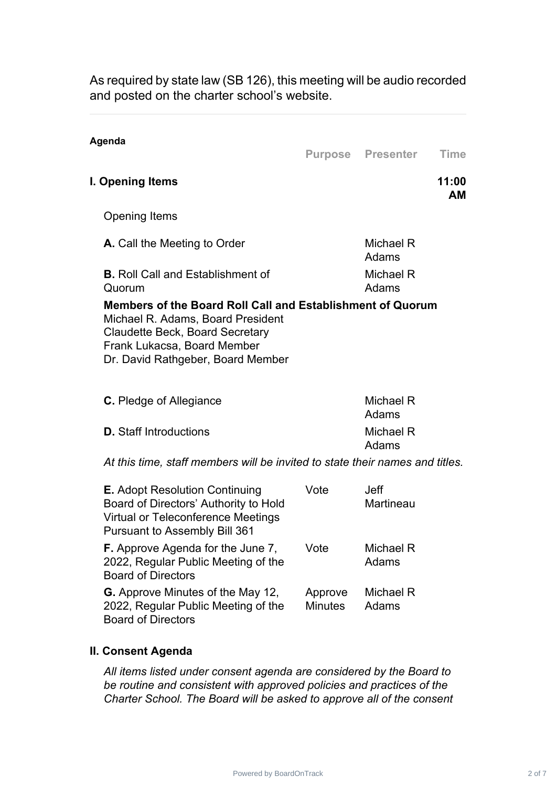As required by state law (SB 126), this meeting will be audio recorded and posted on the charter school's website.

| Agenda                                                                                                                                                                                                        |              | <b>Purpose Presenter</b> | <b>Time</b>        |
|---------------------------------------------------------------------------------------------------------------------------------------------------------------------------------------------------------------|--------------|--------------------------|--------------------|
| I. Opening Items                                                                                                                                                                                              |              |                          | 11:00<br><b>AM</b> |
| <b>Opening Items</b>                                                                                                                                                                                          |              |                          |                    |
| A. Call the Meeting to Order                                                                                                                                                                                  |              | Michael R<br>Adams       |                    |
| <b>B.</b> Roll Call and Establishment of<br>Quorum                                                                                                                                                            |              | Michael R<br>Adams       |                    |
| Members of the Board Roll Call and Establishment of Quorum<br>Michael R. Adams, Board President<br><b>Claudette Beck, Board Secretary</b><br>Frank Lukacsa, Board Member<br>Dr. David Rathgeber, Board Member |              |                          |                    |
| <b>C.</b> Pledge of Allegiance                                                                                                                                                                                |              | Michael R<br>Adams       |                    |
| <b>D.</b> Staff Introductions                                                                                                                                                                                 |              | Michael R<br>Adams       |                    |
| At this time, staff members will be invited to state their names and titles.                                                                                                                                  |              |                          |                    |
| $\blacksquare$                                                                                                                                                                                                | $\mathbf{v}$ |                          |                    |

| <b>E.</b> Adopt Resolution Continuing<br>Board of Directors' Authority to Hold<br><b>Virtual or Teleconference Meetings</b><br><b>Pursuant to Assembly Bill 361</b> | Vote                      | Jeff<br>Martineau  |
|---------------------------------------------------------------------------------------------------------------------------------------------------------------------|---------------------------|--------------------|
| <b>F.</b> Approve Agenda for the June 7,<br>2022, Regular Public Meeting of the<br><b>Board of Directors</b>                                                        | Vote                      | Michael R<br>Adams |
| <b>G.</b> Approve Minutes of the May 12,<br>2022, Regular Public Meeting of the<br><b>Board of Directors</b>                                                        | Approve<br><b>Minutes</b> | Michael R<br>Adams |

### **II. Consent Agenda**

*All items listed under consent agenda are considered by the Board to be routine and consistent with approved policies and practices of the Charter School. The Board will be asked to approve all of the consent*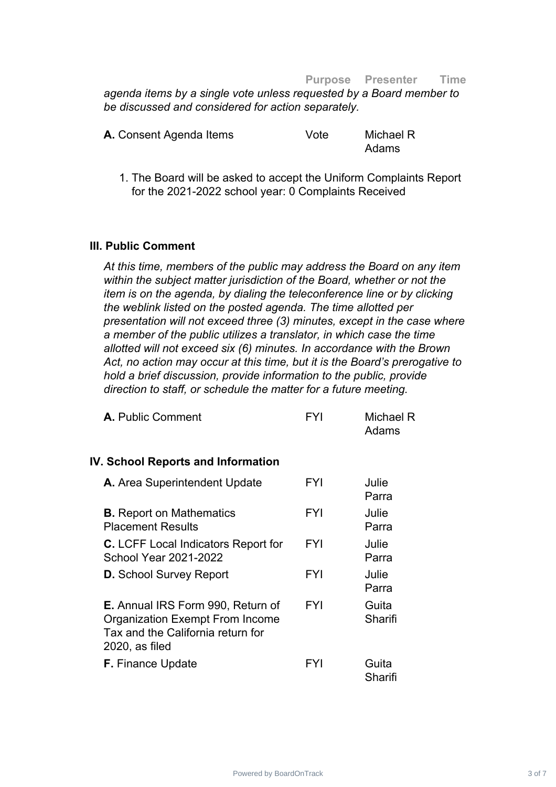#### **Purpose Presenter Time**

*agenda items by a single vote unless requested by a Board member to be discussed and considered for action separately.*

| A. Consent Agenda Items | Vote | Michael R |
|-------------------------|------|-----------|
|                         |      | Adams     |

1. The Board will be asked to accept the Uniform Complaints Report for the 2021-2022 school year: 0 Complaints Received

#### **III. Public Comment**

*At this time, members of the public may address the Board on any item within the subject matter jurisdiction of the Board, whether or not the item is on the agenda, by dialing the teleconference line or by clicking the weblink listed on the posted agenda. The time allotted per presentation will not exceed three (3) minutes, except in the case where a member of the public utilizes a translator, in which case the time allotted will not exceed six (6) minutes. In accordance with the Brown Act, no action may occur at this time, but it is the Board's prerogative to hold a brief discussion, provide information to the public, provide direction to staff, or schedule the matter for a future meeting.*

| <b>A.</b> Public Comment                                                                                                                     | FYI        | Michael R<br>Adams |
|----------------------------------------------------------------------------------------------------------------------------------------------|------------|--------------------|
| <b>IV. School Reports and Information</b>                                                                                                    |            |                    |
| A. Area Superintendent Update                                                                                                                | FYI        | Julie<br>Parra     |
| <b>B.</b> Report on Mathematics<br><b>Placement Results</b>                                                                                  | <b>FYI</b> | Julie<br>Parra     |
| <b>C.</b> LCFF Local Indicators Report for<br><b>School Year 2021-2022</b>                                                                   | <b>FYI</b> | Julie<br>Parra     |
| <b>D.</b> School Survey Report                                                                                                               | <b>FYI</b> | Julie<br>Parra     |
| <b>E.</b> Annual IRS Form 990, Return of<br><b>Organization Exempt From Income</b><br>Tax and the California return for<br>$2020$ , as filed | <b>FYI</b> | Guita<br>Sharifi   |
| <b>F.</b> Finance Update                                                                                                                     | FYI        | Guita<br>Sharifi   |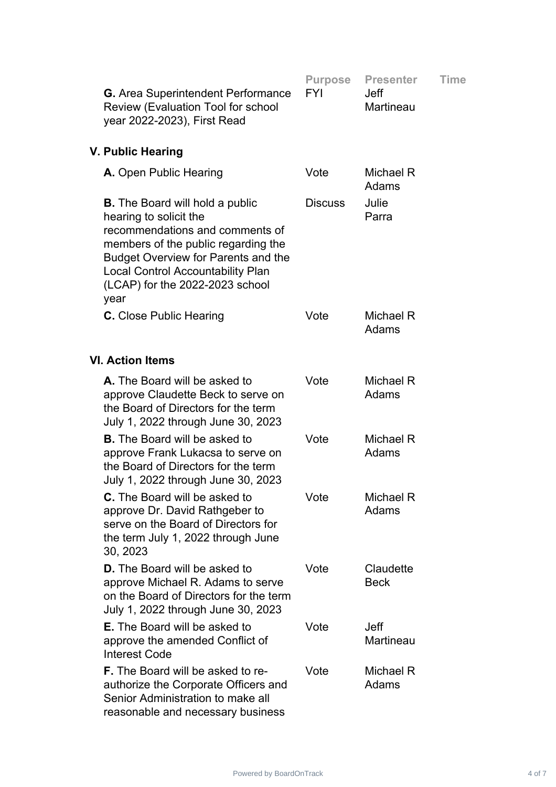| <b>G.</b> Area Superintendent Performance<br>Review (Evaluation Tool for school<br>year 2022-2023), First Read                                                                                                                                                                  | <b>Purpose</b><br><b>FYI</b> | <b>Presenter</b><br><b>Jeff</b><br>Martineau | Time |
|---------------------------------------------------------------------------------------------------------------------------------------------------------------------------------------------------------------------------------------------------------------------------------|------------------------------|----------------------------------------------|------|
| V. Public Hearing                                                                                                                                                                                                                                                               |                              |                                              |      |
| A. Open Public Hearing                                                                                                                                                                                                                                                          | Vote                         | Michael R<br>Adams                           |      |
| <b>B.</b> The Board will hold a public<br>hearing to solicit the<br>recommendations and comments of<br>members of the public regarding the<br><b>Budget Overview for Parents and the</b><br><b>Local Control Accountability Plan</b><br>(LCAP) for the 2022-2023 school<br>year | <b>Discuss</b>               | Julie<br>Parra                               |      |
| <b>C.</b> Close Public Hearing                                                                                                                                                                                                                                                  | Vote                         | Michael R<br>Adams                           |      |
| <b>VI. Action Items</b>                                                                                                                                                                                                                                                         |                              |                                              |      |
| A. The Board will be asked to<br>approve Claudette Beck to serve on<br>the Board of Directors for the term<br>July 1, 2022 through June 30, 2023                                                                                                                                | Vote                         | Michael R<br>Adams                           |      |
| <b>B.</b> The Board will be asked to<br>approve Frank Lukacsa to serve on<br>the Board of Directors for the term<br>July 1, 2022 through June 30, 2023                                                                                                                          | Vote                         | Michael R<br>Adams                           |      |
| C. The Board will be asked to<br>approve Dr. David Rathgeber to<br>serve on the Board of Directors for<br>the term July 1, 2022 through June<br>30, 2023                                                                                                                        | Vote                         | Michael R<br>Adams                           |      |
| <b>D.</b> The Board will be asked to<br>approve Michael R. Adams to serve<br>on the Board of Directors for the term<br>July 1, 2022 through June 30, 2023                                                                                                                       | Vote                         | Claudette<br><b>Beck</b>                     |      |
| <b>E.</b> The Board will be asked to<br>approve the amended Conflict of<br><b>Interest Code</b>                                                                                                                                                                                 | Vote                         | <b>Jeff</b><br>Martineau                     |      |
| <b>F.</b> The Board will be asked to re-<br>authorize the Corporate Officers and<br>Senior Administration to make all<br>reasonable and necessary business                                                                                                                      | Vote                         | Michael R<br>Adams                           |      |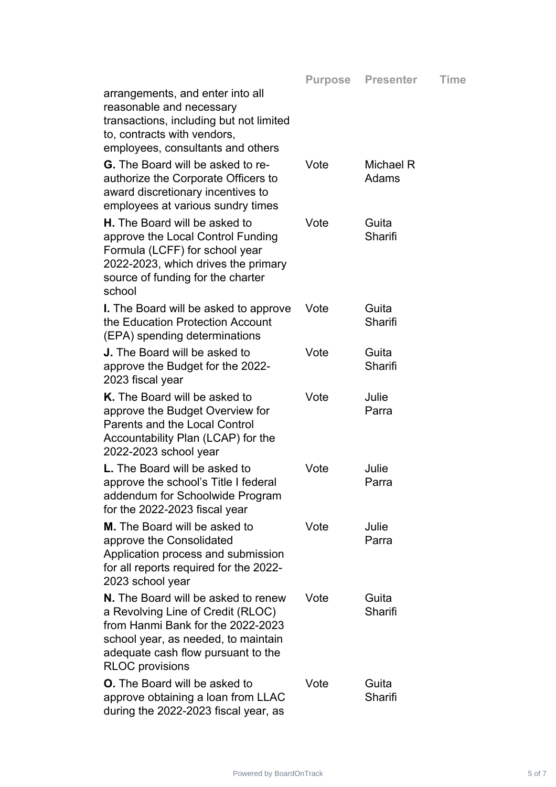| arrangements, and enter into all<br>reasonable and necessary<br>transactions, including but not limited<br>to, contracts with vendors,<br>employees, consultants and others                                                 |      |                    |
|-----------------------------------------------------------------------------------------------------------------------------------------------------------------------------------------------------------------------------|------|--------------------|
| <b>G.</b> The Board will be asked to re-<br>authorize the Corporate Officers to<br>award discretionary incentives to<br>employees at various sundry times                                                                   | Vote | Michael R<br>Adams |
| <b>H.</b> The Board will be asked to<br>approve the Local Control Funding<br>Formula (LCFF) for school year<br>2022-2023, which drives the primary<br>source of funding for the charter<br>school                           | Vote | Guita<br>Sharifi   |
| <b>I.</b> The Board will be asked to approve<br>the Education Protection Account<br>(EPA) spending determinations                                                                                                           | Vote | Guita<br>Sharifi   |
| <b>J.</b> The Board will be asked to<br>approve the Budget for the 2022-<br>2023 fiscal year                                                                                                                                | Vote | Guita<br>Sharifi   |
| <b>K.</b> The Board will be asked to<br>approve the Budget Overview for<br><b>Parents and the Local Control</b><br>Accountability Plan (LCAP) for the<br>2022-2023 school year                                              | Vote | Julie<br>Parra     |
| <b>L.</b> The Board will be asked to<br>approve the school's Title I federal<br>addendum for Schoolwide Program<br>for the 2022-2023 fiscal year                                                                            | Vote | Julie<br>Parra     |
| M. The Board will be asked to<br>approve the Consolidated<br>Application process and submission<br>for all reports required for the 2022-<br>2023 school year                                                               | Vote | Julie<br>Parra     |
| <b>N.</b> The Board will be asked to renew<br>a Revolving Line of Credit (RLOC)<br>from Hanmi Bank for the 2022-2023<br>school year, as needed, to maintain<br>adequate cash flow pursuant to the<br><b>RLOC</b> provisions | Vote | Guita<br>Sharifi   |
| <b>O.</b> The Board will be asked to<br>approve obtaining a loan from LLAC<br>during the 2022-2023 fiscal year, as                                                                                                          | Vote | Guita<br>Sharifi   |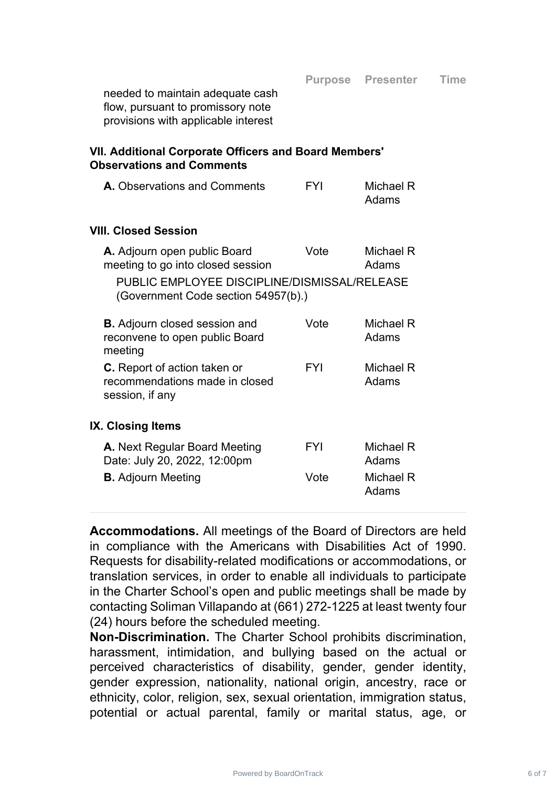Adams

needed to maintain adequate cash flow, pursuant to promissory note provisions with applicable interest

## **VII. Additional Corporate Officers and Board Members' Observations and Comments**

| <b>A.</b> Observations and Comments | <b>FYI</b> | Michael R |
|-------------------------------------|------------|-----------|
|                                     |            | Adams     |

### **VIII. Closed Session**

|                          | A. Adjourn open public Board<br>meeting to go into closed session                        | Vote       | Michael R<br>Adams |  |  |
|--------------------------|------------------------------------------------------------------------------------------|------------|--------------------|--|--|
|                          | PUBLIC EMPLOYEE DISCIPLINE/DISMISSAL/RELEASE<br>(Government Code section 54957(b).)      |            |                    |  |  |
|                          | <b>B.</b> Adjourn closed session and<br>reconvene to open public Board<br>meeting        | Vote       | Michael R<br>Adams |  |  |
|                          | <b>C.</b> Report of action taken or<br>recommendations made in closed<br>session, if any | <b>FYI</b> | Michael R<br>Adams |  |  |
| <b>IX. Closing Items</b> |                                                                                          |            |                    |  |  |
|                          | A. Next Regular Board Meeting<br>Date: July 20, 2022, 12:00pm                            | FYI        | Michael R<br>Adams |  |  |
|                          | <b>B.</b> Adjourn Meeting                                                                | Vote       | Michael R          |  |  |

**Accommodations.** All meetings of the Board of Directors are held in compliance with the Americans with Disabilities Act of 1990. Requests for disability-related modifications or accommodations, or translation services, in order to enable all individuals to participate in the Charter School's open and public meetings shall be made by contacting Soliman Villapando at (661) 272-1225 at least twenty four (24) hours before the scheduled meeting.

**Non-Discrimination.** The Charter School prohibits discrimination, harassment, intimidation, and bullying based on the actual or perceived characteristics of disability, gender, gender identity, gender expression, nationality, national origin, ancestry, race or ethnicity, color, religion, sex, sexual orientation, immigration status, potential or actual parental, family or marital status, age, or